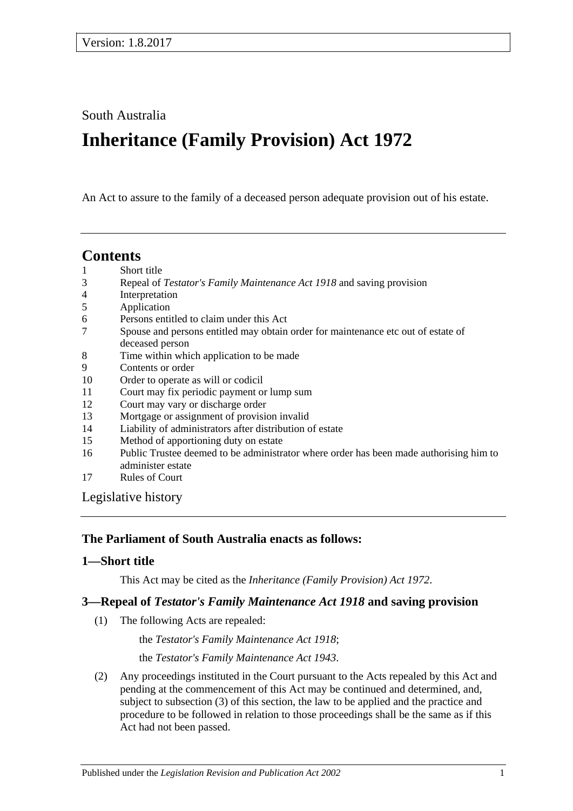South Australia

# **Inheritance (Family Provision) Act 1972**

An Act to assure to the family of a deceased person adequate provision out of his estate.

# **Contents**

- 1 [Short title](#page-0-0)
- 3 Repeal of *[Testator's Family Maintenance Act](#page-0-1) 1918* and saving provision
- 4 [Interpretation](#page-1-0)
- 5 [Application](#page-1-1)
- 6 [Persons entitled to claim under this Act](#page-1-2)
- 7 [Spouse and persons entitled may obtain order for maintenance etc out of estate of](#page-2-0)  [deceased person](#page-2-0)
- 8 [Time within which application to be made](#page-3-0)
- 9 [Contents or order](#page-3-1)
- 10 [Order to operate as will or codicil](#page-4-0)
- 11 [Court may fix periodic payment or lump sum](#page-4-1)
- 12 [Court may vary or discharge order](#page-4-2)
- 13 [Mortgage or assignment of provision invalid](#page-4-3)
- 14 [Liability of administrators after distribution of estate](#page-4-4)
- 15 [Method of apportioning duty on estate](#page-5-0)
- 16 [Public Trustee deemed to be administrator where order has been made authorising him to](#page-5-1)  [administer estate](#page-5-1)
- 17 [Rules of Court](#page-5-2)

[Legislative history](#page-6-0)

#### **The Parliament of South Australia enacts as follows:**

# <span id="page-0-0"></span>**1—Short title**

This Act may be cited as the *Inheritance (Family Provision) Act 1972*.

# <span id="page-0-1"></span>**3—Repeal of** *Testator's Family Maintenance Act 1918* **and saving provision**

(1) The following Acts are repealed:

the *[Testator's Family Maintenance Act](http://www.legislation.sa.gov.au/index.aspx?action=legref&type=act&legtitle=Testators%20Family%20Maintenance%20Act%201918) 1918*;

the *[Testator's Family Maintenance Act](http://www.legislation.sa.gov.au/index.aspx?action=legref&type=act&legtitle=Testators%20Family%20Maintenance%20Act%201943) 1943*.

(2) Any proceedings instituted in the Court pursuant to the Acts repealed by this Act and pending at the commencement of this Act may be continued and determined, and, subject to [subsection](#page-1-3) (3) of this section, the law to be applied and the practice and procedure to be followed in relation to those proceedings shall be the same as if this Act had not been passed.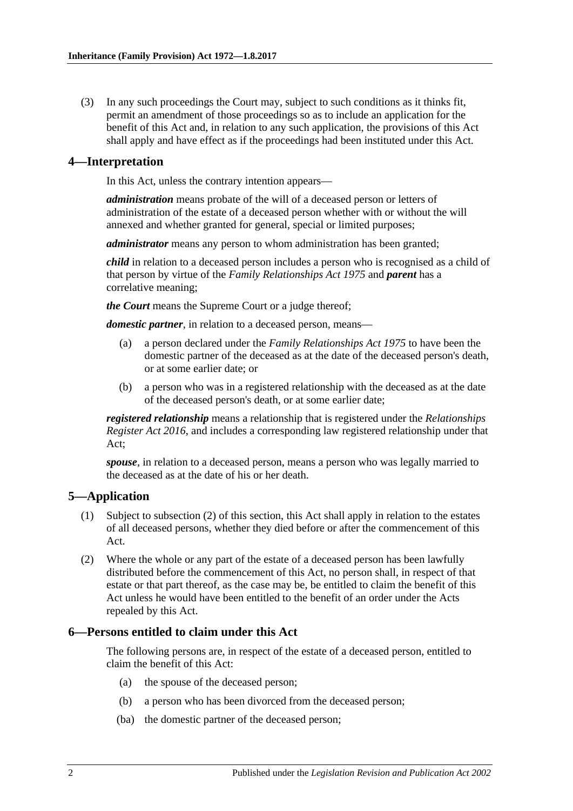<span id="page-1-3"></span>(3) In any such proceedings the Court may, subject to such conditions as it thinks fit, permit an amendment of those proceedings so as to include an application for the benefit of this Act and, in relation to any such application, the provisions of this Act shall apply and have effect as if the proceedings had been instituted under this Act.

#### <span id="page-1-0"></span>**4—Interpretation**

In this Act, unless the contrary intention appears—

*administration* means probate of the will of a deceased person or letters of administration of the estate of a deceased person whether with or without the will annexed and whether granted for general, special or limited purposes;

*administrator* means any person to whom administration has been granted;

*child* in relation to a deceased person includes a person who is recognised as a child of that person by virtue of the *[Family Relationships Act](http://www.legislation.sa.gov.au/index.aspx?action=legref&type=act&legtitle=Family%20Relationships%20Act%201975) 1975* and *parent* has a correlative meaning;

*the Court* means the Supreme Court or a judge thereof;

*domestic partner*, in relation to a deceased person, means—

- (a) a person declared under the *[Family Relationships Act](http://www.legislation.sa.gov.au/index.aspx?action=legref&type=act&legtitle=Family%20Relationships%20Act%201975) 1975* to have been the domestic partner of the deceased as at the date of the deceased person's death, or at some earlier date; or
- (b) a person who was in a registered relationship with the deceased as at the date of the deceased person's death, or at some earlier date;

*registered relationship* means a relationship that is registered under the *[Relationships](http://www.legislation.sa.gov.au/index.aspx?action=legref&type=act&legtitle=Relationships%20Register%20Act%202016)  [Register Act 2016](http://www.legislation.sa.gov.au/index.aspx?action=legref&type=act&legtitle=Relationships%20Register%20Act%202016)*, and includes a corresponding law registered relationship under that Act;

*spouse*, in relation to a deceased person, means a person who was legally married to the deceased as at the date of his or her death.

# <span id="page-1-1"></span>**5—Application**

- (1) Subject to [subsection](#page-1-4) (2) of this section, this Act shall apply in relation to the estates of all deceased persons, whether they died before or after the commencement of this Act.
- <span id="page-1-4"></span>(2) Where the whole or any part of the estate of a deceased person has been lawfully distributed before the commencement of this Act, no person shall, in respect of that estate or that part thereof, as the case may be, be entitled to claim the benefit of this Act unless he would have been entitled to the benefit of an order under the Acts repealed by this Act.

#### <span id="page-1-2"></span>**6—Persons entitled to claim under this Act**

The following persons are, in respect of the estate of a deceased person, entitled to claim the benefit of this Act:

- (a) the spouse of the deceased person;
- (b) a person who has been divorced from the deceased person;
- (ba) the domestic partner of the deceased person;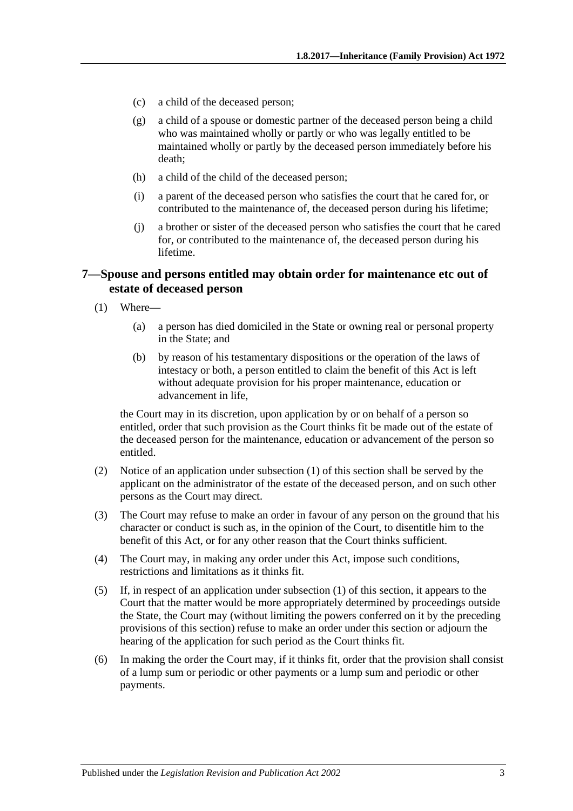- (c) a child of the deceased person;
- (g) a child of a spouse or domestic partner of the deceased person being a child who was maintained wholly or partly or who was legally entitled to be maintained wholly or partly by the deceased person immediately before his death;
- (h) a child of the child of the deceased person;
- (i) a parent of the deceased person who satisfies the court that he cared for, or contributed to the maintenance of, the deceased person during his lifetime;
- (j) a brother or sister of the deceased person who satisfies the court that he cared for, or contributed to the maintenance of, the deceased person during his lifetime.

#### <span id="page-2-0"></span>**7—Spouse and persons entitled may obtain order for maintenance etc out of estate of deceased person**

- <span id="page-2-1"></span>(1) Where—
	- (a) a person has died domiciled in the State or owning real or personal property in the State; and
	- (b) by reason of his testamentary dispositions or the operation of the laws of intestacy or both, a person entitled to claim the benefit of this Act is left without adequate provision for his proper maintenance, education or advancement in life,

the Court may in its discretion, upon application by or on behalf of a person so entitled, order that such provision as the Court thinks fit be made out of the estate of the deceased person for the maintenance, education or advancement of the person so entitled.

- (2) Notice of an application under [subsection](#page-2-1) (1) of this section shall be served by the applicant on the administrator of the estate of the deceased person, and on such other persons as the Court may direct.
- (3) The Court may refuse to make an order in favour of any person on the ground that his character or conduct is such as, in the opinion of the Court, to disentitle him to the benefit of this Act, or for any other reason that the Court thinks sufficient.
- (4) The Court may, in making any order under this Act, impose such conditions, restrictions and limitations as it thinks fit.
- (5) If, in respect of an application under [subsection](#page-2-1) (1) of this section, it appears to the Court that the matter would be more appropriately determined by proceedings outside the State, the Court may (without limiting the powers conferred on it by the preceding provisions of this section) refuse to make an order under this section or adjourn the hearing of the application for such period as the Court thinks fit.
- (6) In making the order the Court may, if it thinks fit, order that the provision shall consist of a lump sum or periodic or other payments or a lump sum and periodic or other payments.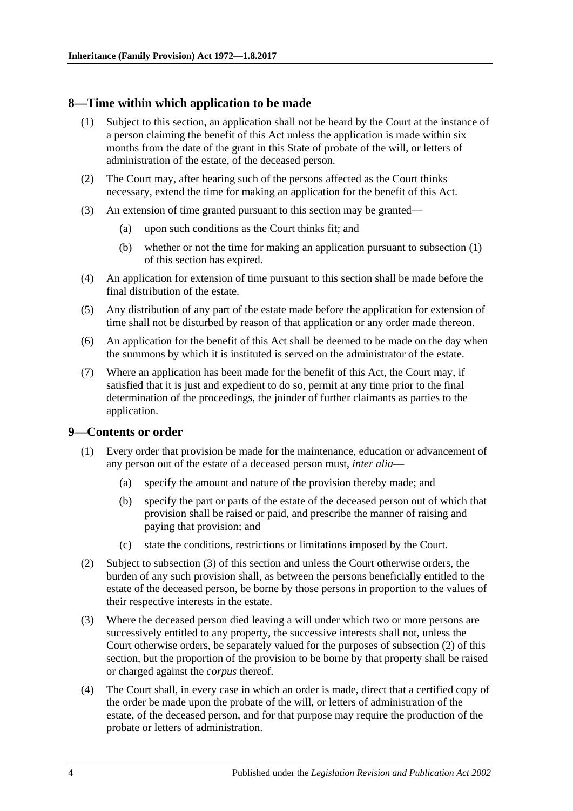#### <span id="page-3-2"></span><span id="page-3-0"></span>**8—Time within which application to be made**

- (1) Subject to this section, an application shall not be heard by the Court at the instance of a person claiming the benefit of this Act unless the application is made within six months from the date of the grant in this State of probate of the will, or letters of administration of the estate, of the deceased person.
- (2) The Court may, after hearing such of the persons affected as the Court thinks necessary, extend the time for making an application for the benefit of this Act.
- (3) An extension of time granted pursuant to this section may be granted—
	- (a) upon such conditions as the Court thinks fit; and
	- (b) whether or not the time for making an application pursuant to [subsection](#page-3-2) (1) of this section has expired.
- (4) An application for extension of time pursuant to this section shall be made before the final distribution of the estate.
- (5) Any distribution of any part of the estate made before the application for extension of time shall not be disturbed by reason of that application or any order made thereon.
- (6) An application for the benefit of this Act shall be deemed to be made on the day when the summons by which it is instituted is served on the administrator of the estate.
- (7) Where an application has been made for the benefit of this Act, the Court may, if satisfied that it is just and expedient to do so, permit at any time prior to the final determination of the proceedings, the joinder of further claimants as parties to the application.

#### <span id="page-3-1"></span>**9—Contents or order**

- (1) Every order that provision be made for the maintenance, education or advancement of any person out of the estate of a deceased person must, *inter alia*—
	- (a) specify the amount and nature of the provision thereby made; and
	- (b) specify the part or parts of the estate of the deceased person out of which that provision shall be raised or paid, and prescribe the manner of raising and paying that provision; and
	- (c) state the conditions, restrictions or limitations imposed by the Court.
- <span id="page-3-4"></span>(2) Subject to [subsection](#page-3-3) (3) of this section and unless the Court otherwise orders, the burden of any such provision shall, as between the persons beneficially entitled to the estate of the deceased person, be borne by those persons in proportion to the values of their respective interests in the estate.
- <span id="page-3-3"></span>(3) Where the deceased person died leaving a will under which two or more persons are successively entitled to any property, the successive interests shall not, unless the Court otherwise orders, be separately valued for the purposes of [subsection](#page-3-4) (2) of this section, but the proportion of the provision to be borne by that property shall be raised or charged against the *corpus* thereof.
- (4) The Court shall, in every case in which an order is made, direct that a certified copy of the order be made upon the probate of the will, or letters of administration of the estate, of the deceased person, and for that purpose may require the production of the probate or letters of administration.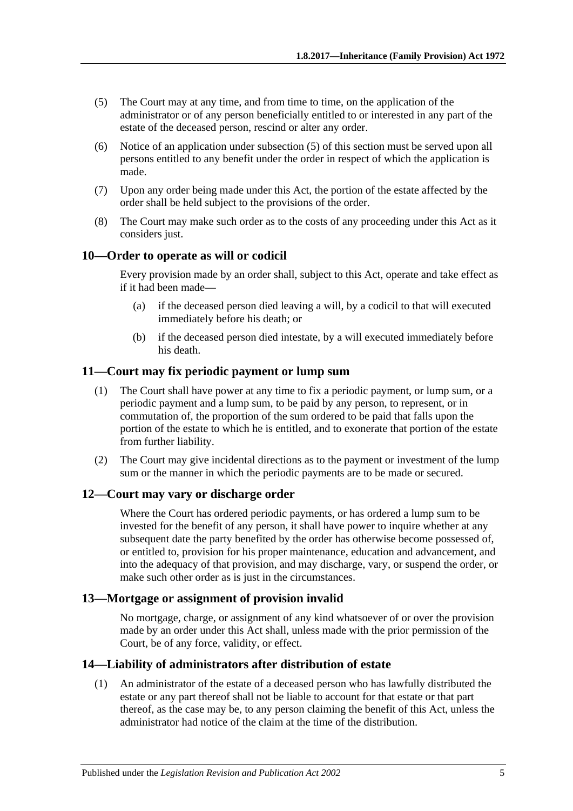- <span id="page-4-5"></span>(5) The Court may at any time, and from time to time, on the application of the administrator or of any person beneficially entitled to or interested in any part of the estate of the deceased person, rescind or alter any order.
- (6) Notice of an application under [subsection](#page-4-5) (5) of this section must be served upon all persons entitled to any benefit under the order in respect of which the application is made.
- (7) Upon any order being made under this Act, the portion of the estate affected by the order shall be held subject to the provisions of the order.
- (8) The Court may make such order as to the costs of any proceeding under this Act as it considers just.

#### <span id="page-4-0"></span>**10—Order to operate as will or codicil**

Every provision made by an order shall, subject to this Act, operate and take effect as if it had been made—

- (a) if the deceased person died leaving a will, by a codicil to that will executed immediately before his death; or
- (b) if the deceased person died intestate, by a will executed immediately before his death.

#### <span id="page-4-1"></span>**11—Court may fix periodic payment or lump sum**

- (1) The Court shall have power at any time to fix a periodic payment, or lump sum, or a periodic payment and a lump sum, to be paid by any person, to represent, or in commutation of, the proportion of the sum ordered to be paid that falls upon the portion of the estate to which he is entitled, and to exonerate that portion of the estate from further liability.
- (2) The Court may give incidental directions as to the payment or investment of the lump sum or the manner in which the periodic payments are to be made or secured.

#### <span id="page-4-2"></span>**12—Court may vary or discharge order**

Where the Court has ordered periodic payments, or has ordered a lump sum to be invested for the benefit of any person, it shall have power to inquire whether at any subsequent date the party benefited by the order has otherwise become possessed of, or entitled to, provision for his proper maintenance, education and advancement, and into the adequacy of that provision, and may discharge, vary, or suspend the order, or make such other order as is just in the circumstances.

#### <span id="page-4-3"></span>**13—Mortgage or assignment of provision invalid**

No mortgage, charge, or assignment of any kind whatsoever of or over the provision made by an order under this Act shall, unless made with the prior permission of the Court, be of any force, validity, or effect.

#### <span id="page-4-6"></span><span id="page-4-4"></span>**14—Liability of administrators after distribution of estate**

(1) An administrator of the estate of a deceased person who has lawfully distributed the estate or any part thereof shall not be liable to account for that estate or that part thereof, as the case may be, to any person claiming the benefit of this Act, unless the administrator had notice of the claim at the time of the distribution.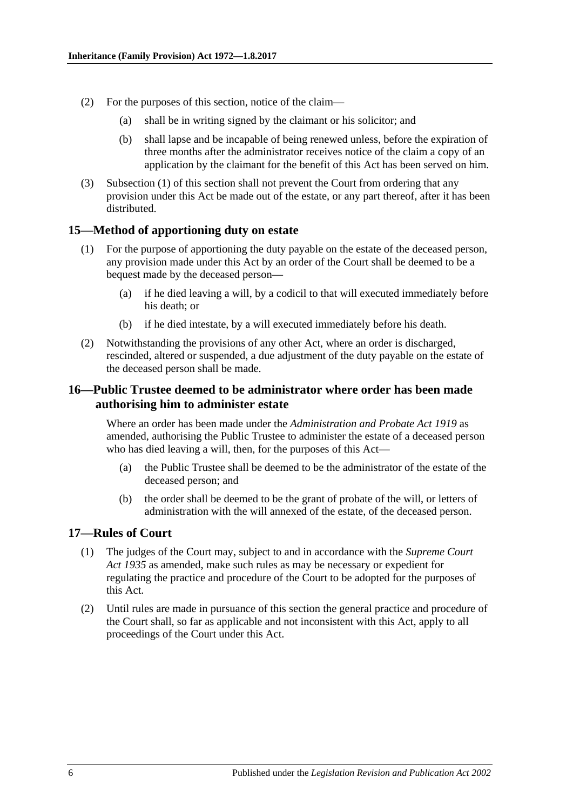- (2) For the purposes of this section, notice of the claim—
	- (a) shall be in writing signed by the claimant or his solicitor; and
	- (b) shall lapse and be incapable of being renewed unless, before the expiration of three months after the administrator receives notice of the claim a copy of an application by the claimant for the benefit of this Act has been served on him.
- (3) [Subsection](#page-4-6) (1) of this section shall not prevent the Court from ordering that any provision under this Act be made out of the estate, or any part thereof, after it has been distributed.

#### <span id="page-5-0"></span>**15—Method of apportioning duty on estate**

- (1) For the purpose of apportioning the duty payable on the estate of the deceased person, any provision made under this Act by an order of the Court shall be deemed to be a bequest made by the deceased person—
	- (a) if he died leaving a will, by a codicil to that will executed immediately before his death; or
	- (b) if he died intestate, by a will executed immediately before his death.
- (2) Notwithstanding the provisions of any other Act, where an order is discharged, rescinded, altered or suspended, a due adjustment of the duty payable on the estate of the deceased person shall be made.

#### <span id="page-5-1"></span>**16—Public Trustee deemed to be administrator where order has been made authorising him to administer estate**

Where an order has been made under the *[Administration and Probate Act](http://www.legislation.sa.gov.au/index.aspx?action=legref&type=act&legtitle=Administration%20and%20Probate%20Act%201919) 1919* as amended, authorising the Public Trustee to administer the estate of a deceased person who has died leaving a will, then, for the purposes of this Act—

- (a) the Public Trustee shall be deemed to be the administrator of the estate of the deceased person; and
- (b) the order shall be deemed to be the grant of probate of the will, or letters of administration with the will annexed of the estate, of the deceased person.

#### <span id="page-5-2"></span>**17—Rules of Court**

- (1) The judges of the Court may, subject to and in accordance with the *[Supreme Court](http://www.legislation.sa.gov.au/index.aspx?action=legref&type=act&legtitle=Supreme%20Court%20Act%201935)  Act [1935](http://www.legislation.sa.gov.au/index.aspx?action=legref&type=act&legtitle=Supreme%20Court%20Act%201935)* as amended, make such rules as may be necessary or expedient for regulating the practice and procedure of the Court to be adopted for the purposes of this Act.
- (2) Until rules are made in pursuance of this section the general practice and procedure of the Court shall, so far as applicable and not inconsistent with this Act, apply to all proceedings of the Court under this Act.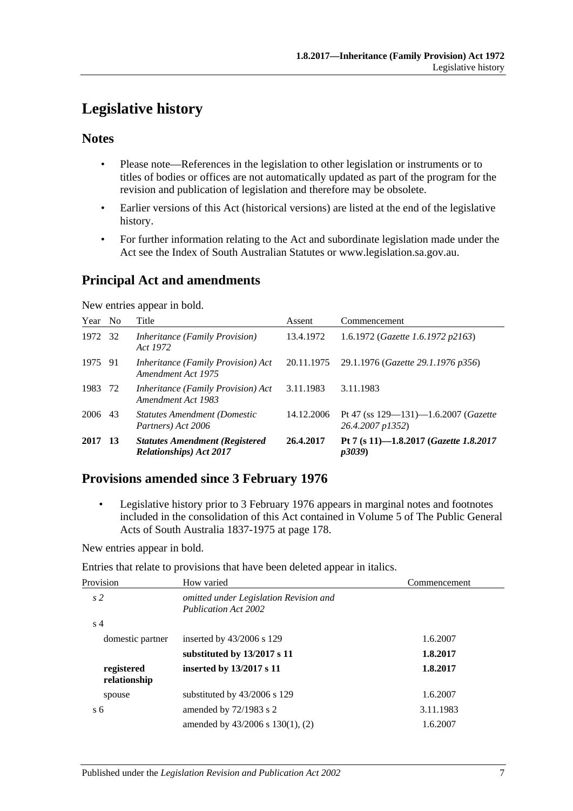# <span id="page-6-0"></span>**Legislative history**

# **Notes**

- Please note—References in the legislation to other legislation or instruments or to titles of bodies or offices are not automatically updated as part of the program for the revision and publication of legislation and therefore may be obsolete.
- Earlier versions of this Act (historical versions) are listed at the end of the legislative history.
- For further information relating to the Act and subordinate legislation made under the Act see the Index of South Australian Statutes or www.legislation.sa.gov.au.

# **Principal Act and amendments**

New entries appear in bold.

| Year    | N <sub>0</sub> | Title                                                                    | Assent     | Commencement                                                          |
|---------|----------------|--------------------------------------------------------------------------|------------|-----------------------------------------------------------------------|
| 1972    | -32            | <i>Inheritance (Family Provision)</i><br>Act 1972                        | 13.4.1972  | 1.6.1972 (Gazette 1.6.1972 p2163)                                     |
| 1975 91 |                | <i>Inheritance (Family Provision) Act</i><br>Amendment Act 1975          | 20.11.1975 | 29.1.1976 (Gazette 29.1.1976 p356)                                    |
| 1983    | 72             | Inheritance (Family Provision) Act<br>Amendment Act 1983                 | 3.11.1983  | 3.11.1983                                                             |
| 2006 43 |                | <b>Statutes Amendment (Domestic)</b><br>Partners) Act 2006               | 14.12.2006 | Pt 47 (ss $129 - 131$ )-1.6.2007 ( <i>Gazette</i><br>26.4.2007 p1352) |
| 2017    | -13            | <b>Statutes Amendment (Registered</b><br><b>Relationships</b> ) Act 2017 | 26.4.2017  | Pt 7 (s 11)-1.8.2017 (Gazette 1.8.2017<br><i>p3039</i> )              |

# **Provisions amended since 3 February 1976**

• Legislative history prior to 3 February 1976 appears in marginal notes and footnotes included in the consolidation of this Act contained in Volume 5 of The Public General Acts of South Australia 1837-1975 at page 178.

New entries appear in bold.

Entries that relate to provisions that have been deleted appear in italics.

| Provision                  | How varied                                                            | Commencement |
|----------------------------|-----------------------------------------------------------------------|--------------|
| s <sub>2</sub>             | omitted under Legislation Revision and<br><b>Publication Act 2002</b> |              |
| s <sub>4</sub>             |                                                                       |              |
| domestic partner           | inserted by $43/2006$ s 129                                           | 1.6.2007     |
|                            | substituted by 13/2017 s 11                                           | 1.8.2017     |
| registered<br>relationship | inserted by 13/2017 s 11                                              | 1.8.2017     |
| spouse                     | substituted by $43/2006$ s 129                                        | 1.6.2007     |
| s <sub>6</sub>             | amended by 72/1983 s 2                                                | 3.11.1983    |
|                            | amended by $43/2006$ s $130(1)$ , (2)                                 | 1.6.2007     |